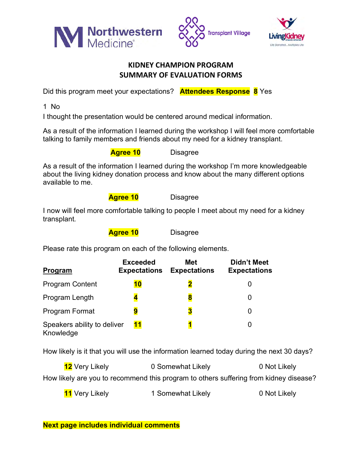





## **KIDNEY CHAMPION PROGRAM SUMMARY OF EVALUATION FORMS**

Did this program meet your expectations? **Attendees Response 8** Yes

1 No

I thought the presentation would be centered around medical information.

As a result of the information I learned during the workshop I will feel more comfortable talking to family members and friends about my need for a kidney transplant.

**Agree 10** Disagree

As a result of the information I learned during the workshop I'm more knowledgeable about the living kidney donation process and know about the many different options available to me.

**Agree 10** Disagree

I now will feel more comfortable talking to people I meet about my need for a kidney transplant.

**Agree 10** Disagree

Please rate this program on each of the following elements.

| <b>Program</b>                           | <b>Exceeded</b><br><b>Expectations</b> | <b>Met</b><br><b>Expectations</b> | <b>Didn't Meet</b><br><b>Expectations</b> |
|------------------------------------------|----------------------------------------|-----------------------------------|-------------------------------------------|
| <b>Program Content</b>                   | 10                                     |                                   |                                           |
| Program Length                           |                                        | 8                                 |                                           |
| <b>Program Format</b>                    | 9                                      | 3                                 |                                           |
| Speakers ability to deliver<br>Knowledge | 11                                     |                                   |                                           |

How likely is it that you will use the information learned today during the next 30 days?

| <b>12</b> Very Likely                                                                 | 0 Somewhat Likely | 0 Not Likely |
|---------------------------------------------------------------------------------------|-------------------|--------------|
| How likely are you to recommend this program to others suffering from kidney disease? |                   |              |

**11** Very Likely **1** Somewhat Likely **1** O Not Likely

**Next page includes individual comments**